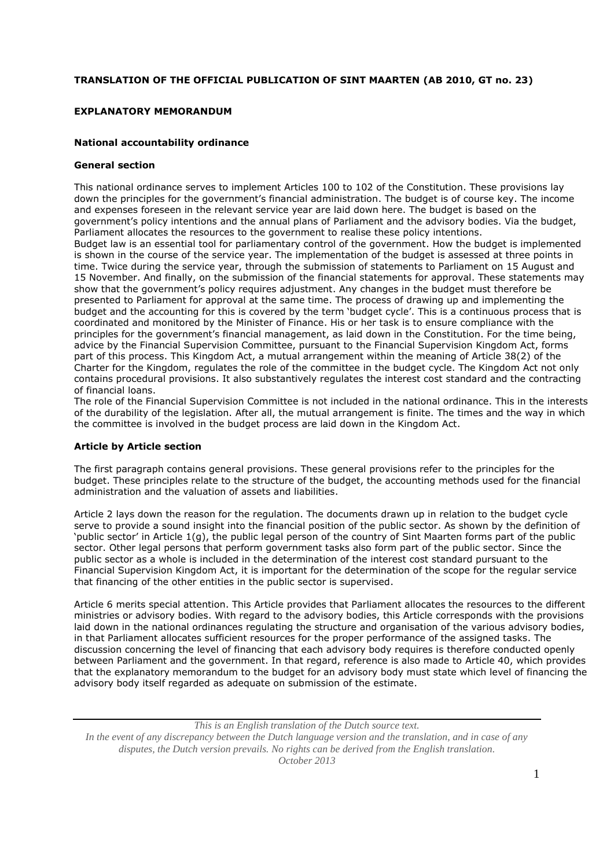# **TRANSLATION OF THE OFFICIAL PUBLICATION OF SINT MAARTEN (AB 2010, GT no. 23)**

## **EXPLANATORY MEMORANDUM**

### **National accountability ordinance**

### **General section**

This national ordinance serves to implement Articles 100 to 102 of the Constitution. These provisions lay down the principles for the government's financial administration. The budget is of course key. The income and expenses foreseen in the relevant service year are laid down here. The budget is based on the government's policy intentions and the annual plans of Parliament and the advisory bodies. Via the budget, Parliament allocates the resources to the government to realise these policy intentions. Budget law is an essential tool for parliamentary control of the government. How the budget is implemented is shown in the course of the service year. The implementation of the budget is assessed at three points in time. Twice during the service year, through the submission of statements to Parliament on 15 August and 15 November. And finally, on the submission of the financial statements for approval. These statements may show that the government's policy requires adjustment. Any changes in the budget must therefore be presented to Parliament for approval at the same time. The process of drawing up and implementing the budget and the accounting for this is covered by the term 'budget cycle'. This is a continuous process that is coordinated and monitored by the Minister of Finance. His or her task is to ensure compliance with the principles for the government's financial management, as laid down in the Constitution. For the time being, advice by the Financial Supervision Committee, pursuant to the Financial Supervision Kingdom Act, forms part of this process. This Kingdom Act, a mutual arrangement within the meaning of Article 38(2) of the Charter for the Kingdom, regulates the role of the committee in the budget cycle. The Kingdom Act not only contains procedural provisions. It also substantively regulates the interest cost standard and the contracting of financial loans.

The role of the Financial Supervision Committee is not included in the national ordinance. This in the interests of the durability of the legislation. After all, the mutual arrangement is finite. The times and the way in which the committee is involved in the budget process are laid down in the Kingdom Act.

### **Article by Article section**

The first paragraph contains general provisions. These general provisions refer to the principles for the budget. These principles relate to the structure of the budget, the accounting methods used for the financial administration and the valuation of assets and liabilities.

Article 2 lays down the reason for the regulation. The documents drawn up in relation to the budget cycle serve to provide a sound insight into the financial position of the public sector. As shown by the definition of 'public sector' in Article 1(g), the public legal person of the country of Sint Maarten forms part of the public sector. Other legal persons that perform government tasks also form part of the public sector. Since the public sector as a whole is included in the determination of the interest cost standard pursuant to the Financial Supervision Kingdom Act, it is important for the determination of the scope for the regular service that financing of the other entities in the public sector is supervised.

Article 6 merits special attention. This Article provides that Parliament allocates the resources to the different ministries or advisory bodies. With regard to the advisory bodies, this Article corresponds with the provisions laid down in the national ordinances regulating the structure and organisation of the various advisory bodies, in that Parliament allocates sufficient resources for the proper performance of the assigned tasks. The discussion concerning the level of financing that each advisory body requires is therefore conducted openly between Parliament and the government. In that regard, reference is also made to Article 40, which provides that the explanatory memorandum to the budget for an advisory body must state which level of financing the advisory body itself regarded as adequate on submission of the estimate.

*This is an English translation of the Dutch source text. In the event of any discrepancy between the Dutch language version and the translation, and in case of any disputes, the Dutch version prevails. No rights can be derived from the English translation. October 2013*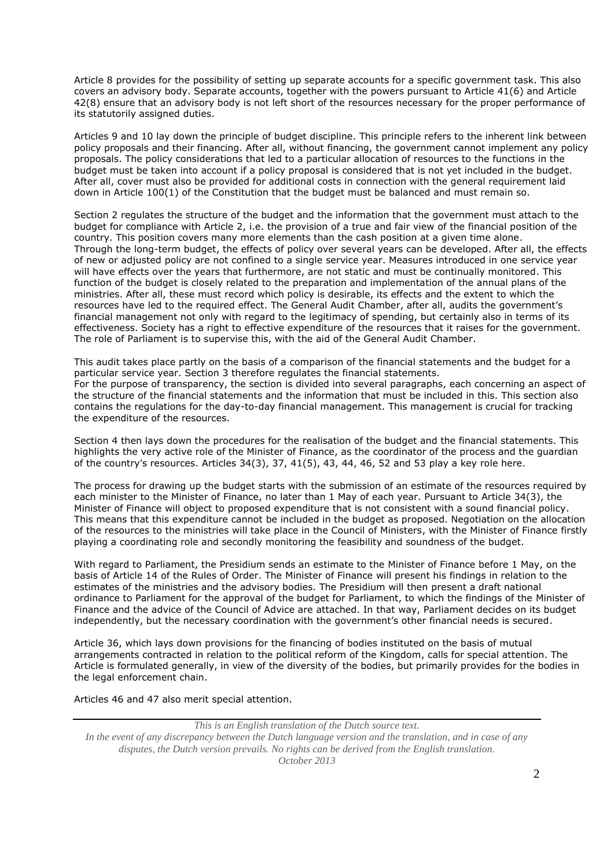Article 8 provides for the possibility of setting up separate accounts for a specific government task. This also covers an advisory body. Separate accounts, together with the powers pursuant to Article 41(6) and Article 42(8) ensure that an advisory body is not left short of the resources necessary for the proper performance of its statutorily assigned duties.

Articles 9 and 10 lay down the principle of budget discipline. This principle refers to the inherent link between policy proposals and their financing. After all, without financing, the government cannot implement any policy proposals. The policy considerations that led to a particular allocation of resources to the functions in the budget must be taken into account if a policy proposal is considered that is not yet included in the budget. After all, cover must also be provided for additional costs in connection with the general requirement laid down in Article 100(1) of the Constitution that the budget must be balanced and must remain so.

Section 2 regulates the structure of the budget and the information that the government must attach to the budget for compliance with Article 2, i.e. the provision of a true and fair view of the financial position of the country. This position covers many more elements than the cash position at a given time alone. Through the long-term budget, the effects of policy over several years can be developed. After all, the effects of new or adjusted policy are not confined to a single service year. Measures introduced in one service year will have effects over the years that furthermore, are not static and must be continually monitored. This function of the budget is closely related to the preparation and implementation of the annual plans of the ministries. After all, these must record which policy is desirable, its effects and the extent to which the resources have led to the required effect. The General Audit Chamber, after all, audits the government's financial management not only with regard to the legitimacy of spending, but certainly also in terms of its effectiveness. Society has a right to effective expenditure of the resources that it raises for the government. The role of Parliament is to supervise this, with the aid of the General Audit Chamber.

This audit takes place partly on the basis of a comparison of the financial statements and the budget for a particular service year. Section 3 therefore regulates the financial statements. For the purpose of transparency, the section is divided into several paragraphs, each concerning an aspect of the structure of the financial statements and the information that must be included in this. This section also contains the regulations for the day-to-day financial management. This management is crucial for tracking the expenditure of the resources.

Section 4 then lays down the procedures for the realisation of the budget and the financial statements. This highlights the very active role of the Minister of Finance, as the coordinator of the process and the guardian of the country's resources. Articles 34(3), 37, 41(5), 43, 44, 46, 52 and 53 play a key role here.

The process for drawing up the budget starts with the submission of an estimate of the resources required by each minister to the Minister of Finance, no later than 1 May of each year. Pursuant to Article 34(3), the Minister of Finance will object to proposed expenditure that is not consistent with a sound financial policy. This means that this expenditure cannot be included in the budget as proposed. Negotiation on the allocation of the resources to the ministries will take place in the Council of Ministers, with the Minister of Finance firstly playing a coordinating role and secondly monitoring the feasibility and soundness of the budget.

With regard to Parliament, the Presidium sends an estimate to the Minister of Finance before 1 May, on the basis of Article 14 of the Rules of Order. The Minister of Finance will present his findings in relation to the estimates of the ministries and the advisory bodies. The Presidium will then present a draft national ordinance to Parliament for the approval of the budget for Parliament, to which the findings of the Minister of Finance and the advice of the Council of Advice are attached. In that way, Parliament decides on its budget independently, but the necessary coordination with the government's other financial needs is secured.

Article 36, which lays down provisions for the financing of bodies instituted on the basis of mutual arrangements contracted in relation to the political reform of the Kingdom, calls for special attention. The Article is formulated generally, in view of the diversity of the bodies, but primarily provides for the bodies in the legal enforcement chain.

Articles 46 and 47 also merit special attention.

*This is an English translation of the Dutch source text. In the event of any discrepancy between the Dutch language version and the translation, and in case of any disputes, the Dutch version prevails. No rights can be derived from the English translation. October 2013*